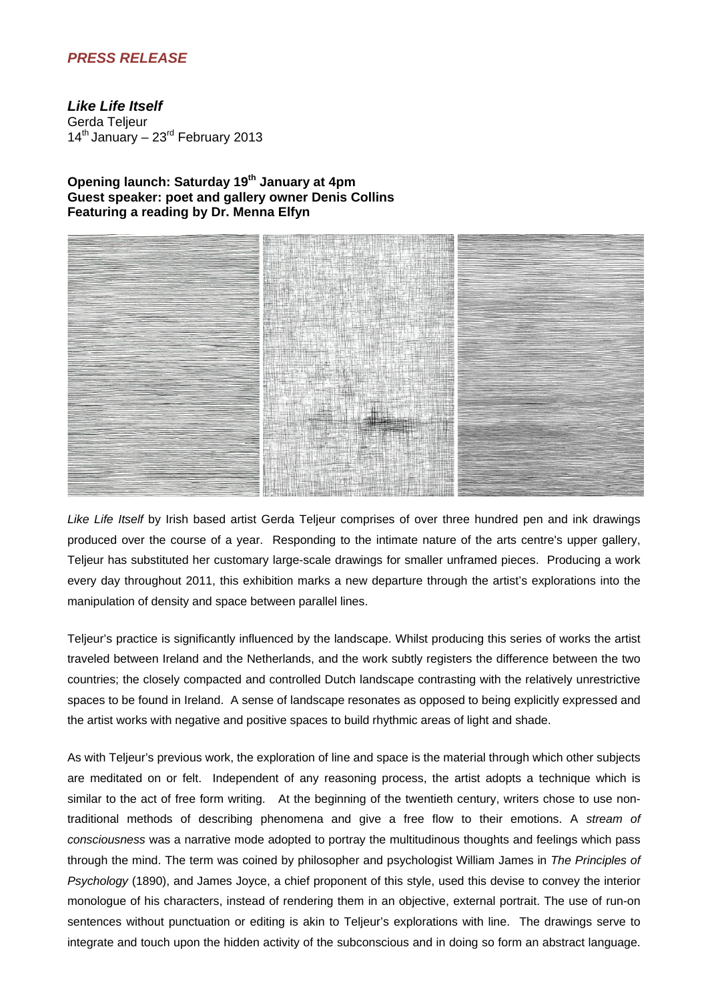## *PRESS RELEASE*

*Like Life Itself* Gerda Teljeur  $14<sup>th</sup>$  January – 23 $<sup>rd</sup>$  February 2013</sup>

## **Opening launch: Saturday 19th January at 4pm Guest speaker: poet and gallery owner Denis Collins Featuring a reading by Dr. Menna Elfyn**



*Like Life Itself* by Irish based artist Gerda Teljeur comprises of over three hundred pen and ink drawings produced over the course of a year. Responding to the intimate nature of the arts centre's upper gallery, Teljeur has substituted her customary large-scale drawings for smaller unframed pieces. Producing a work every day throughout 2011, this exhibition marks a new departure through the artist's explorations into the manipulation of density and space between parallel lines.

Teljeur's practice is significantly influenced by the landscape. Whilst producing this series of works the artist traveled between Ireland and the Netherlands, and the work subtly registers the difference between the two countries; the closely compacted and controlled Dutch landscape contrasting with the relatively unrestrictive spaces to be found in Ireland. A sense of landscape resonates as opposed to being explicitly expressed and the artist works with negative and positive spaces to build rhythmic areas of light and shade.

As with Teljeur's previous work, the exploration of line and space is the material through which other subjects are meditated on or felt. Independent of any reasoning process, the artist adopts a technique which is similar to the act of free form writing. At the beginning of the twentieth century, writers chose to use nontraditional methods of describing phenomena and give a free flow to their emotions. A *stream of consciousness* was a narrative mode adopted to portray the multitudinous thoughts and feelings which pass through the mind. The term was coined by philosopher and psychologist William James in *The Principles of Psychology* (1890), and James Joyce, a chief proponent of this style, used this devise to convey the interior monologue of his characters, instead of rendering them in an objective, external portrait. The use of run-on sentences without punctuation or editing is akin to Teljeur's explorations with line. The drawings serve to integrate and touch upon the hidden activity of the subconscious and in doing so form an abstract language.